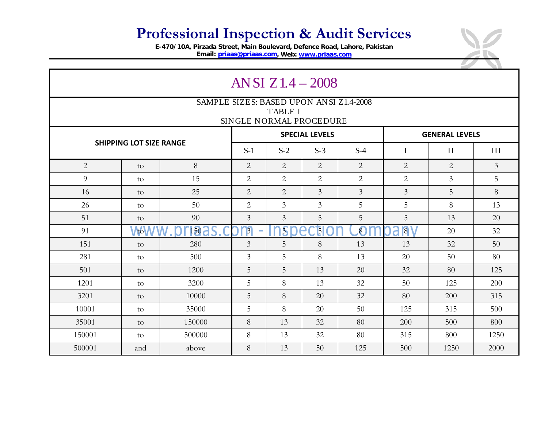## **Professional Inspection & Audit Services**

**E-470/10A, Pirzada Street, Main Boulevard, Defence Road, Lahore, Pakistan Email: [priaas@priaas.com,](mailto:priaas@priaas.com) Web: [www.priaas.com](http://www.priaas.com/)**

| AN SI $Z1.4 - 2008$                                                                  |            |                  |                |                       |                |                       |                |                |                |  |  |  |  |  |
|--------------------------------------------------------------------------------------|------------|------------------|----------------|-----------------------|----------------|-----------------------|----------------|----------------|----------------|--|--|--|--|--|
| SAMPLE SIZES: BASED UPON ANSI Z1.4-2008<br><b>TABLE I</b><br>SINGLE NORMAL PROCEDURE |            |                  |                |                       |                |                       |                |                |                |  |  |  |  |  |
|                                                                                      |            |                  |                | <b>SPECIAL LEVELS</b> |                | <b>GENERAL LEVELS</b> |                |                |                |  |  |  |  |  |
| <b>SHIPPING LOT SIZE RANGE</b>                                                       |            | $S-1$            | $S-2$          | $S-3$                 | $S-4$          | $\bf I$               | $\rm II$       | III            |                |  |  |  |  |  |
| $\overline{2}$                                                                       | to         | 8                | $\overline{2}$ | $\overline{2}$        | $\overline{2}$ | 2                     | 2              | 2              | $\overline{3}$ |  |  |  |  |  |
| 9                                                                                    | to         | 15               | $\overline{2}$ | $\overline{2}$        | $\overline{2}$ | 2                     | 2              | $\overline{3}$ | 5              |  |  |  |  |  |
| 16                                                                                   | to         | 25               | $\overline{2}$ | $\overline{2}$        | $\overline{3}$ | $\mathfrak{Z}$        | $\overline{3}$ | 5              | 8              |  |  |  |  |  |
| 26                                                                                   | to         | 50               | $\overline{2}$ | $\overline{3}$        | $\overline{3}$ | 5                     | 5              | 8              | 13             |  |  |  |  |  |
| 51                                                                                   | to         | 90               | $\overline{3}$ | $\overline{3}$        | 5              | 5                     | 5              | 13             | 20             |  |  |  |  |  |
| 91                                                                                   | <b>AbW</b> | 150 <sup>2</sup> | $\beta$        | $\overline{3}$        | $\mathbf{5}$   | $\overline{8}$        | 8V<br>a        | 20             | 32             |  |  |  |  |  |
| 151                                                                                  | to         | 280              | $\mathfrak{Z}$ | 5                     | 8              | 13                    | 13             | 32             | 50             |  |  |  |  |  |
| 281                                                                                  | to         | 500              | $\overline{3}$ | 5                     | 8              | 13                    | 20             | 50             | 80             |  |  |  |  |  |
| 501                                                                                  | to         | 1200             | 5              | 5                     | 13             | 20                    | 32             | 80             | 125            |  |  |  |  |  |
| 1201                                                                                 | to         | 3200             | 5              | 8                     | 13             | 32                    | 50             | 125            | 200            |  |  |  |  |  |
| 3201                                                                                 | to         | 10000            | 5              | 8                     | 20             | 32                    | 80             | 200            | 315            |  |  |  |  |  |
| 10001                                                                                | to         | 35000            | 5              | 8                     | 20             | 50                    | 125            | 315            | 500            |  |  |  |  |  |
| 35001                                                                                | to         | 150000           | 8              | 13                    | 32             | 80                    | 200            | 500            | 800            |  |  |  |  |  |
| 150001                                                                               | to         | 500000           | 8              | 13                    | 32             | 80                    | 315            | 800            | 1250           |  |  |  |  |  |
| 500001                                                                               | and        | above            | 8              | 13                    | 50             | 125                   | 500            | 1250           | 2000           |  |  |  |  |  |